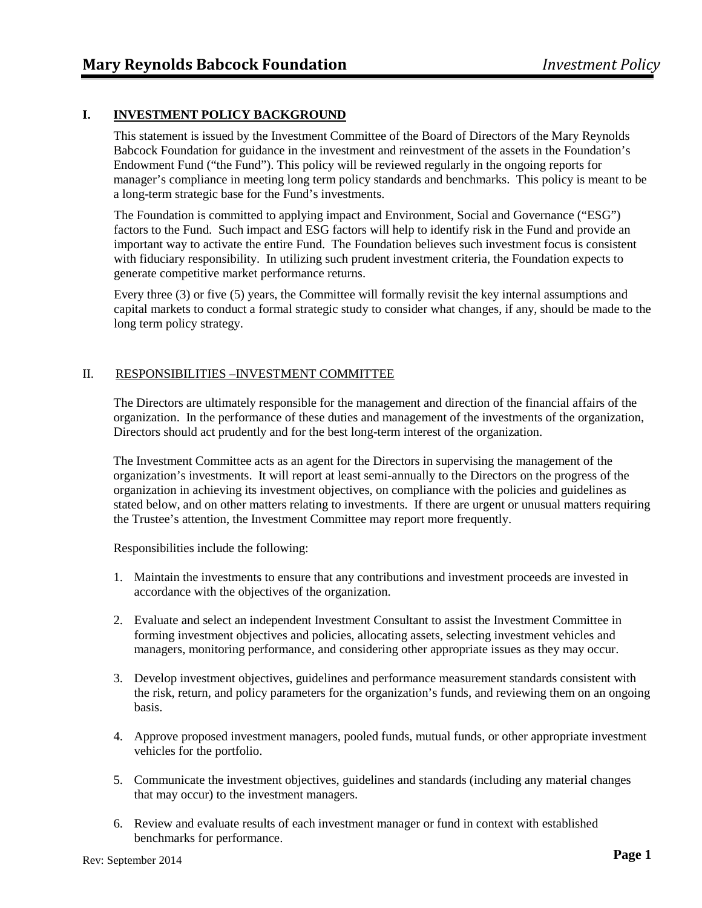# **I. INVESTMENT POLICY BACKGROUND**

This statement is issued by the Investment Committee of the Board of Directors of the Mary Reynolds Babcock Foundation for guidance in the investment and reinvestment of the assets in the Foundation's Endowment Fund ("the Fund"). This policy will be reviewed regularly in the ongoing reports for manager's compliance in meeting long term policy standards and benchmarks. This policy is meant to be a long-term strategic base for the Fund's investments.

The Foundation is committed to applying impact and Environment, Social and Governance ("ESG") factors to the Fund. Such impact and ESG factors will help to identify risk in the Fund and provide an important way to activate the entire Fund. The Foundation believes such investment focus is consistent with fiduciary responsibility. In utilizing such prudent investment criteria, the Foundation expects to generate competitive market performance returns.

Every three (3) or five (5) years, the Committee will formally revisit the key internal assumptions and capital markets to conduct a formal strategic study to consider what changes, if any, should be made to the long term policy strategy.

### II. RESPONSIBILITIES –INVESTMENT COMMITTEE

The Directors are ultimately responsible for the management and direction of the financial affairs of the organization. In the performance of these duties and management of the investments of the organization, Directors should act prudently and for the best long-term interest of the organization.

The Investment Committee acts as an agent for the Directors in supervising the management of the organization's investments. It will report at least semi-annually to the Directors on the progress of the organization in achieving its investment objectives, on compliance with the policies and guidelines as stated below, and on other matters relating to investments. If there are urgent or unusual matters requiring the Trustee's attention, the Investment Committee may report more frequently.

Responsibilities include the following:

- 1. Maintain the investments to ensure that any contributions and investment proceeds are invested in accordance with the objectives of the organization.
- 2. Evaluate and select an independent Investment Consultant to assist the Investment Committee in forming investment objectives and policies, allocating assets, selecting investment vehicles and managers, monitoring performance, and considering other appropriate issues as they may occur.
- 3. Develop investment objectives, guidelines and performance measurement standards consistent with the risk, return, and policy parameters for the organization's funds, and reviewing them on an ongoing basis.
- 4. Approve proposed investment managers, pooled funds, mutual funds, or other appropriate investment vehicles for the portfolio.
- 5. Communicate the investment objectives, guidelines and standards (including any material changes that may occur) to the investment managers.
- 6. Review and evaluate results of each investment manager or fund in context with established benchmarks for performance.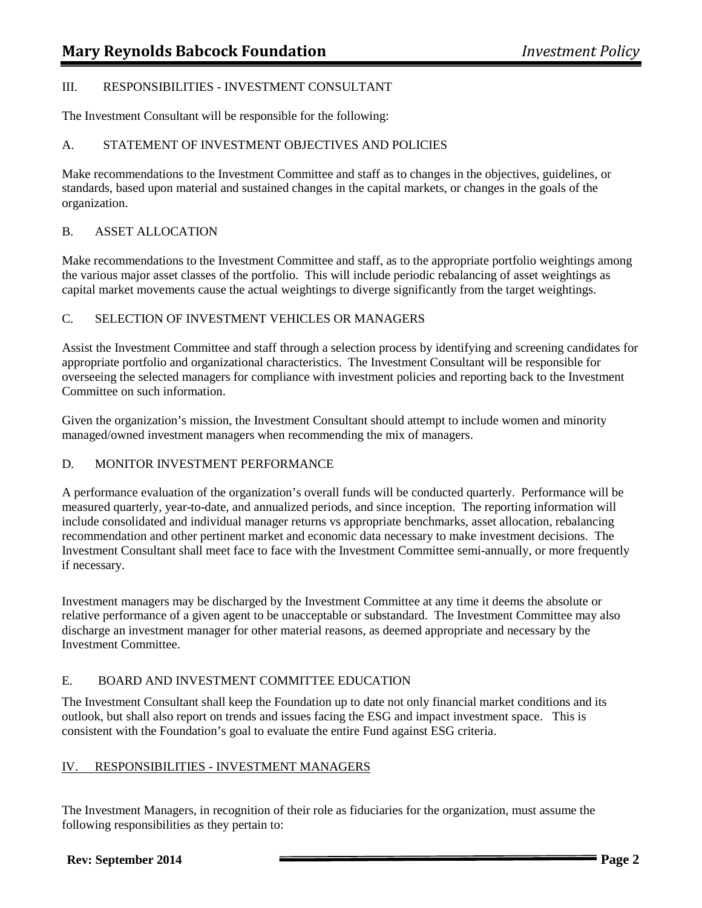## III. RESPONSIBILITIES - INVESTMENT CONSULTANT

The Investment Consultant will be responsible for the following:

# A. STATEMENT OF INVESTMENT OBJECTIVES AND POLICIES

Make recommendations to the Investment Committee and staff as to changes in the objectives, guidelines, or standards, based upon material and sustained changes in the capital markets, or changes in the goals of the organization.

## B. ASSET ALLOCATION

Make recommendations to the Investment Committee and staff, as to the appropriate portfolio weightings among the various major asset classes of the portfolio. This will include periodic rebalancing of asset weightings as capital market movements cause the actual weightings to diverge significantly from the target weightings.

## C. SELECTION OF INVESTMENT VEHICLES OR MANAGERS

Assist the Investment Committee and staff through a selection process by identifying and screening candidates for appropriate portfolio and organizational characteristics. The Investment Consultant will be responsible for overseeing the selected managers for compliance with investment policies and reporting back to the Investment Committee on such information.

Given the organization's mission, the Investment Consultant should attempt to include women and minority managed/owned investment managers when recommending the mix of managers.

# D. MONITOR INVESTMENT PERFORMANCE

A performance evaluation of the organization's overall funds will be conducted quarterly. Performance will be measured quarterly, year-to-date, and annualized periods, and since inception. The reporting information will include consolidated and individual manager returns vs appropriate benchmarks, asset allocation, rebalancing recommendation and other pertinent market and economic data necessary to make investment decisions. The Investment Consultant shall meet face to face with the Investment Committee semi-annually, or more frequently if necessary.

Investment managers may be discharged by the Investment Committee at any time it deems the absolute or relative performance of a given agent to be unacceptable or substandard. The Investment Committee may also discharge an investment manager for other material reasons, as deemed appropriate and necessary by the Investment Committee.

# E. BOARD AND INVESTMENT COMMITTEE EDUCATION

The Investment Consultant shall keep the Foundation up to date not only financial market conditions and its outlook, but shall also report on trends and issues facing the ESG and impact investment space. This is consistent with the Foundation's goal to evaluate the entire Fund against ESG criteria.

# IV. RESPONSIBILITIES - INVESTMENT MANAGERS

The Investment Managers, in recognition of their role as fiduciaries for the organization, must assume the following responsibilities as they pertain to: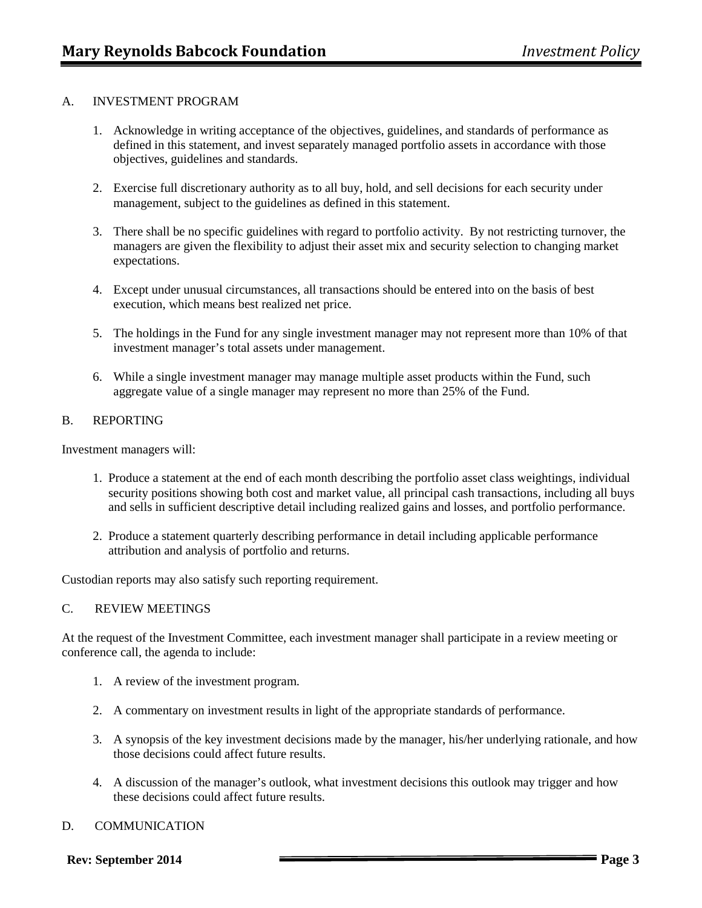## A. INVESTMENT PROGRAM

- 1. Acknowledge in writing acceptance of the objectives, guidelines, and standards of performance as defined in this statement, and invest separately managed portfolio assets in accordance with those objectives, guidelines and standards.
- 2. Exercise full discretionary authority as to all buy, hold, and sell decisions for each security under management, subject to the guidelines as defined in this statement.
- 3. There shall be no specific guidelines with regard to portfolio activity. By not restricting turnover, the managers are given the flexibility to adjust their asset mix and security selection to changing market expectations.
- 4. Except under unusual circumstances, all transactions should be entered into on the basis of best execution, which means best realized net price.
- 5. The holdings in the Fund for any single investment manager may not represent more than 10% of that investment manager's total assets under management.
- 6. While a single investment manager may manage multiple asset products within the Fund, such aggregate value of a single manager may represent no more than 25% of the Fund.

#### B. REPORTING

Investment managers will:

- 1. Produce a statement at the end of each month describing the portfolio asset class weightings, individual security positions showing both cost and market value, all principal cash transactions, including all buys and sells in sufficient descriptive detail including realized gains and losses, and portfolio performance.
- 2. Produce a statement quarterly describing performance in detail including applicable performance attribution and analysis of portfolio and returns.

Custodian reports may also satisfy such reporting requirement.

### C. REVIEW MEETINGS

At the request of the Investment Committee, each investment manager shall participate in a review meeting or conference call, the agenda to include:

- 1. A review of the investment program.
- 2. A commentary on investment results in light of the appropriate standards of performance.
- 3. A synopsis of the key investment decisions made by the manager, his/her underlying rationale, and how those decisions could affect future results.
- 4. A discussion of the manager's outlook, what investment decisions this outlook may trigger and how these decisions could affect future results.

### D. COMMUNICATION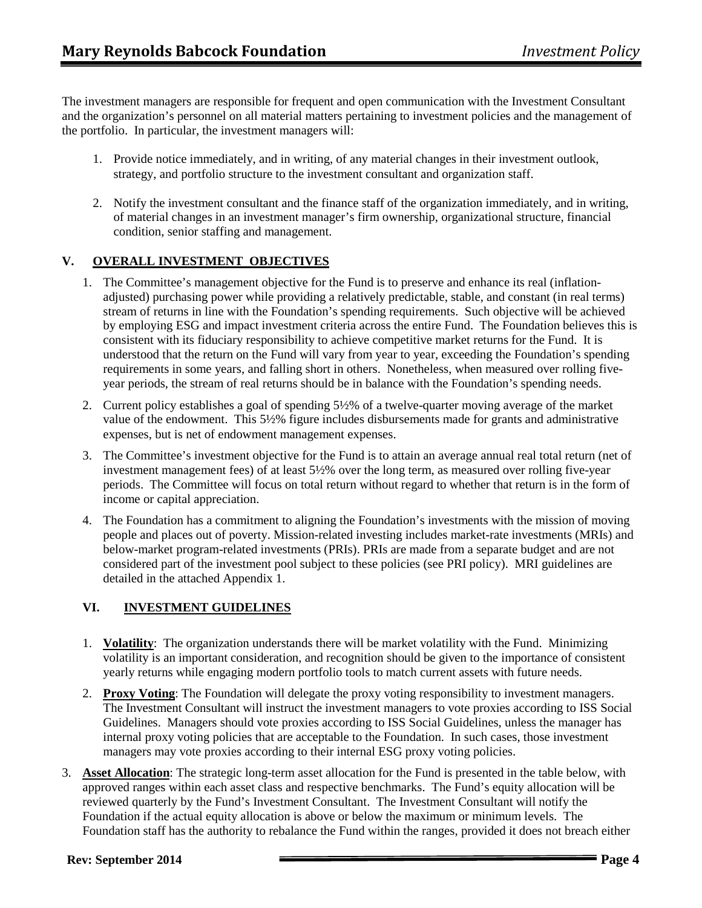The investment managers are responsible for frequent and open communication with the Investment Consultant and the organization's personnel on all material matters pertaining to investment policies and the management of the portfolio. In particular, the investment managers will:

- 1. Provide notice immediately, and in writing, of any material changes in their investment outlook, strategy, and portfolio structure to the investment consultant and organization staff.
- 2. Notify the investment consultant and the finance staff of the organization immediately, and in writing, of material changes in an investment manager's firm ownership, organizational structure, financial condition, senior staffing and management.

# **V. OVERALL INVESTMENT OBJECTIVES**

- 1. The Committee's management objective for the Fund is to preserve and enhance its real (inflationadjusted) purchasing power while providing a relatively predictable, stable, and constant (in real terms) stream of returns in line with the Foundation's spending requirements. Such objective will be achieved by employing ESG and impact investment criteria across the entire Fund. The Foundation believes this is consistent with its fiduciary responsibility to achieve competitive market returns for the Fund. It is understood that the return on the Fund will vary from year to year, exceeding the Foundation's spending requirements in some years, and falling short in others. Nonetheless, when measured over rolling fiveyear periods, the stream of real returns should be in balance with the Foundation's spending needs.
- 2. Current policy establishes a goal of spending 5½% of a twelve-quarter moving average of the market value of the endowment. This 5½% figure includes disbursements made for grants and administrative expenses, but is net of endowment management expenses.
- 3. The Committee's investment objective for the Fund is to attain an average annual real total return (net of investment management fees) of at least 5½% over the long term, as measured over rolling five-year periods. The Committee will focus on total return without regard to whether that return is in the form of income or capital appreciation.
- 4. The Foundation has a commitment to aligning the Foundation's investments with the mission of moving people and places out of poverty. Mission-related investing includes market-rate investments (MRIs) and below-market program-related investments (PRIs). PRIs are made from a separate budget and are not considered part of the investment pool subject to these policies (see PRI policy). MRI guidelines are detailed in the attached Appendix 1.

# **VI. INVESTMENT GUIDELINES**

- 1. **Volatility**: The organization understands there will be market volatility with the Fund. Minimizing volatility is an important consideration, and recognition should be given to the importance of consistent yearly returns while engaging modern portfolio tools to match current assets with future needs.
- 2. **Proxy Voting**: The Foundation will delegate the proxy voting responsibility to investment managers. The Investment Consultant will instruct the investment managers to vote proxies according to ISS Social Guidelines. Managers should vote proxies according to ISS Social Guidelines, unless the manager has internal proxy voting policies that are acceptable to the Foundation. In such cases, those investment managers may vote proxies according to their internal ESG proxy voting policies.
- 3. **Asset Allocation**: The strategic long-term asset allocation for the Fund is presented in the table below, with approved ranges within each asset class and respective benchmarks. The Fund's equity allocation will be reviewed quarterly by the Fund's Investment Consultant. The Investment Consultant will notify the Foundation if the actual equity allocation is above or below the maximum or minimum levels. The Foundation staff has the authority to rebalance the Fund within the ranges, provided it does not breach either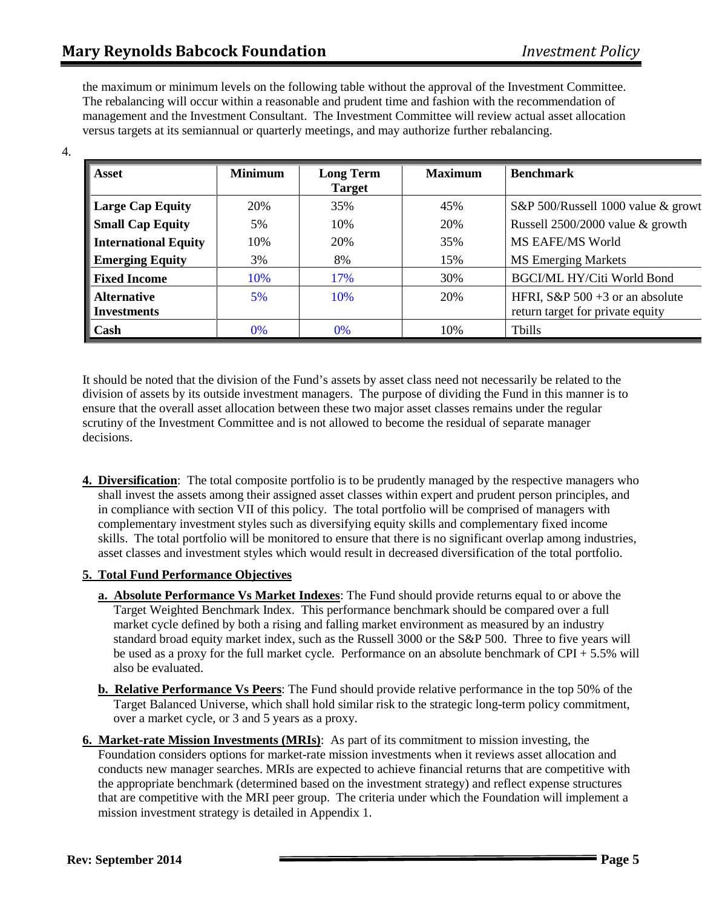4.

the maximum or minimum levels on the following table without the approval of the Investment Committee. The rebalancing will occur within a reasonable and prudent time and fashion with the recommendation of management and the Investment Consultant. The Investment Committee will review actual asset allocation versus targets at its semiannual or quarterly meetings, and may authorize further rebalancing.

| Asset                                    | <b>Minimum</b> | <b>Long Term</b><br><b>Target</b> | <b>Maximum</b> | <b>Benchmark</b>                                                       |
|------------------------------------------|----------------|-----------------------------------|----------------|------------------------------------------------------------------------|
| <b>Large Cap Equity</b>                  | 20%            | 35%                               | 45%            | S&P 500/Russell 1000 value & growt                                     |
| <b>Small Cap Equity</b>                  | 5%             | 10%                               | 20%            | Russell 2500/2000 value & growth                                       |
| <b>International Equity</b>              | 10%            | 20%                               | 35%            | MS EAFE/MS World                                                       |
| <b>Emerging Equity</b>                   | 3%             | 8%                                | 15%            | <b>MS</b> Emerging Markets                                             |
| <b>Fixed Income</b>                      | 10%            | 17%                               | 30%            | <b>BGCI/ML HY/Citi World Bond</b>                                      |
| <b>Alternative</b><br><b>Investments</b> | 5%             | 10%                               | 20%            | HFRI, S&P $500 + 3$ or an absolute<br>return target for private equity |
| Cash                                     | 0%             | $0\%$                             | 10%            | <b>Tbills</b>                                                          |

It should be noted that the division of the Fund's assets by asset class need not necessarily be related to the division of assets by its outside investment managers. The purpose of dividing the Fund in this manner is to ensure that the overall asset allocation between these two major asset classes remains under the regular scrutiny of the Investment Committee and is not allowed to become the residual of separate manager decisions.

**4. Diversification**: The total composite portfolio is to be prudently managed by the respective managers who shall invest the assets among their assigned asset classes within expert and prudent person principles, and in compliance with section VII of this policy. The total portfolio will be comprised of managers with complementary investment styles such as diversifying equity skills and complementary fixed income skills. The total portfolio will be monitored to ensure that there is no significant overlap among industries, asset classes and investment styles which would result in decreased diversification of the total portfolio.

# **5. Total Fund Performance Objectives**

- **a. Absolute Performance Vs Market Indexes**: The Fund should provide returns equal to or above the Target Weighted Benchmark Index. This performance benchmark should be compared over a full market cycle defined by both a rising and falling market environment as measured by an industry standard broad equity market index, such as the Russell 3000 or the S&P 500. Three to five years will be used as a proxy for the full market cycle. Performance on an absolute benchmark of CPI + 5.5% will also be evaluated.
- **b. Relative Performance Vs Peers**: The Fund should provide relative performance in the top 50% of the Target Balanced Universe, which shall hold similar risk to the strategic long-term policy commitment, over a market cycle, or 3 and 5 years as a proxy.
- **6. Market-rate Mission Investments (MRIs)**: As part of its commitment to mission investing, the Foundation considers options for market-rate mission investments when it reviews asset allocation and conducts new manager searches. MRIs are expected to achieve financial returns that are competitive with the appropriate benchmark (determined based on the investment strategy) and reflect expense structures that are competitive with the MRI peer group. The criteria under which the Foundation will implement a mission investment strategy is detailed in Appendix 1.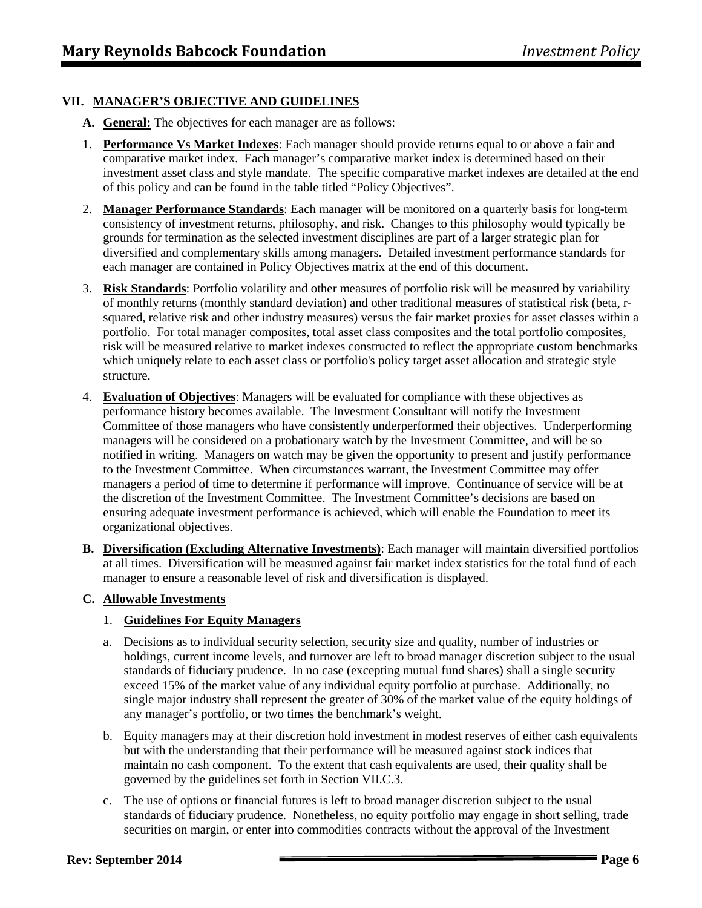# **VII. MANAGER'S OBJECTIVE AND GUIDELINES**

- **A. General:** The objectives for each manager are as follows:
- 1. **Performance Vs Market Indexes**: Each manager should provide returns equal to or above a fair and comparative market index. Each manager's comparative market index is determined based on their investment asset class and style mandate. The specific comparative market indexes are detailed at the end of this policy and can be found in the table titled "Policy Objectives".
- 2. **Manager Performance Standards**: Each manager will be monitored on a quarterly basis for long-term consistency of investment returns, philosophy, and risk. Changes to this philosophy would typically be grounds for termination as the selected investment disciplines are part of a larger strategic plan for diversified and complementary skills among managers. Detailed investment performance standards for each manager are contained in Policy Objectives matrix at the end of this document.
- 3. **Risk Standards**: Portfolio volatility and other measures of portfolio risk will be measured by variability of monthly returns (monthly standard deviation) and other traditional measures of statistical risk (beta, rsquared, relative risk and other industry measures) versus the fair market proxies for asset classes within a portfolio. For total manager composites, total asset class composites and the total portfolio composites, risk will be measured relative to market indexes constructed to reflect the appropriate custom benchmarks which uniquely relate to each asset class or portfolio's policy target asset allocation and strategic style structure.
- 4. **Evaluation of Objectives**: Managers will be evaluated for compliance with these objectives as performance history becomes available. The Investment Consultant will notify the Investment Committee of those managers who have consistently underperformed their objectives. Underperforming managers will be considered on a probationary watch by the Investment Committee, and will be so notified in writing. Managers on watch may be given the opportunity to present and justify performance to the Investment Committee. When circumstances warrant, the Investment Committee may offer managers a period of time to determine if performance will improve. Continuance of service will be at the discretion of the Investment Committee. The Investment Committee's decisions are based on ensuring adequate investment performance is achieved, which will enable the Foundation to meet its organizational objectives.
- **B. Diversification (Excluding Alternative Investments)**: Each manager will maintain diversified portfolios at all times. Diversification will be measured against fair market index statistics for the total fund of each manager to ensure a reasonable level of risk and diversification is displayed.

# **C. Allowable Investments**

# 1. **Guidelines For Equity Managers**

- a. Decisions as to individual security selection, security size and quality, number of industries or holdings, current income levels, and turnover are left to broad manager discretion subject to the usual standards of fiduciary prudence. In no case (excepting mutual fund shares) shall a single security exceed 15% of the market value of any individual equity portfolio at purchase. Additionally, no single major industry shall represent the greater of 30% of the market value of the equity holdings of any manager's portfolio, or two times the benchmark's weight.
- b. Equity managers may at their discretion hold investment in modest reserves of either cash equivalents but with the understanding that their performance will be measured against stock indices that maintain no cash component. To the extent that cash equivalents are used, their quality shall be governed by the guidelines set forth in Section VII.C.3.
- c. The use of options or financial futures is left to broad manager discretion subject to the usual standards of fiduciary prudence. Nonetheless, no equity portfolio may engage in short selling, trade securities on margin, or enter into commodities contracts without the approval of the Investment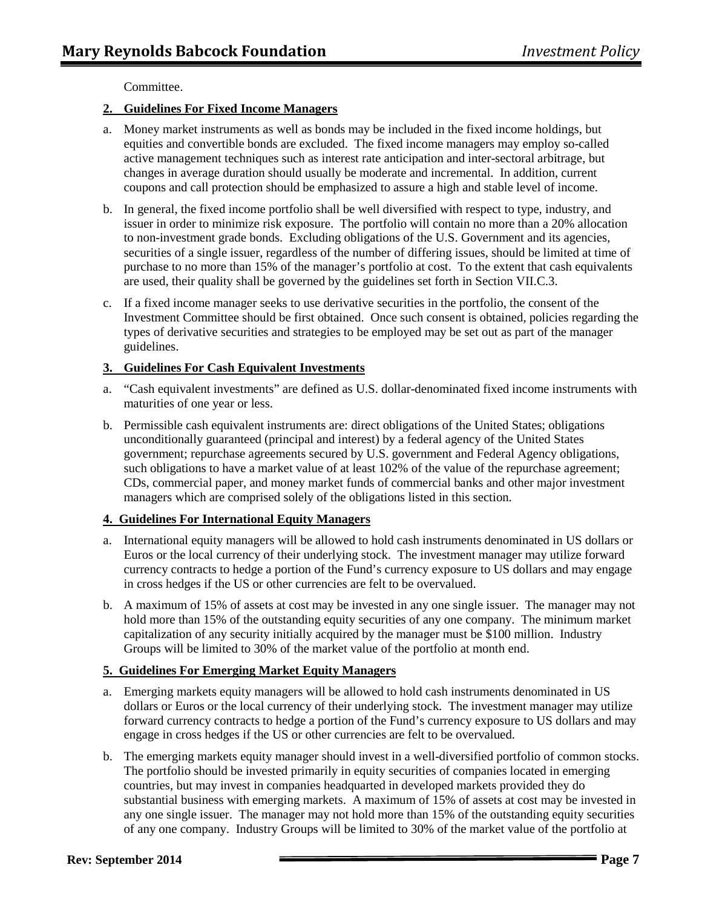Committee.

## **2. Guidelines For Fixed Income Managers**

- a. Money market instruments as well as bonds may be included in the fixed income holdings, but equities and convertible bonds are excluded. The fixed income managers may employ so-called active management techniques such as interest rate anticipation and inter-sectoral arbitrage, but changes in average duration should usually be moderate and incremental. In addition, current coupons and call protection should be emphasized to assure a high and stable level of income.
- b. In general, the fixed income portfolio shall be well diversified with respect to type, industry, and issuer in order to minimize risk exposure. The portfolio will contain no more than a 20% allocation to non-investment grade bonds. Excluding obligations of the U.S. Government and its agencies, securities of a single issuer, regardless of the number of differing issues, should be limited at time of purchase to no more than 15% of the manager's portfolio at cost. To the extent that cash equivalents are used, their quality shall be governed by the guidelines set forth in Section VII.C.3.
- c. If a fixed income manager seeks to use derivative securities in the portfolio, the consent of the Investment Committee should be first obtained. Once such consent is obtained, policies regarding the types of derivative securities and strategies to be employed may be set out as part of the manager guidelines.

## **3. Guidelines For Cash Equivalent Investments**

- a. "Cash equivalent investments" are defined as U.S. dollar-denominated fixed income instruments with maturities of one year or less.
- b. Permissible cash equivalent instruments are: direct obligations of the United States; obligations unconditionally guaranteed (principal and interest) by a federal agency of the United States government; repurchase agreements secured by U.S. government and Federal Agency obligations, such obligations to have a market value of at least 102% of the value of the repurchase agreement; CDs, commercial paper, and money market funds of commercial banks and other major investment managers which are comprised solely of the obligations listed in this section.

## **4. Guidelines For International Equity Managers**

- a. International equity managers will be allowed to hold cash instruments denominated in US dollars or Euros or the local currency of their underlying stock. The investment manager may utilize forward currency contracts to hedge a portion of the Fund's currency exposure to US dollars and may engage in cross hedges if the US or other currencies are felt to be overvalued.
- b. A maximum of 15% of assets at cost may be invested in any one single issuer. The manager may not hold more than 15% of the outstanding equity securities of any one company. The minimum market capitalization of any security initially acquired by the manager must be \$100 million. Industry Groups will be limited to 30% of the market value of the portfolio at month end.

# **5. Guidelines For Emerging Market Equity Managers**

- a. Emerging markets equity managers will be allowed to hold cash instruments denominated in US dollars or Euros or the local currency of their underlying stock. The investment manager may utilize forward currency contracts to hedge a portion of the Fund's currency exposure to US dollars and may engage in cross hedges if the US or other currencies are felt to be overvalued.
- b. The emerging markets equity manager should invest in a well-diversified portfolio of common stocks. The portfolio should be invested primarily in equity securities of companies located in emerging countries, but may invest in companies headquarted in developed markets provided they do substantial business with emerging markets. A maximum of 15% of assets at cost may be invested in any one single issuer. The manager may not hold more than 15% of the outstanding equity securities of any one company. Industry Groups will be limited to 30% of the market value of the portfolio at